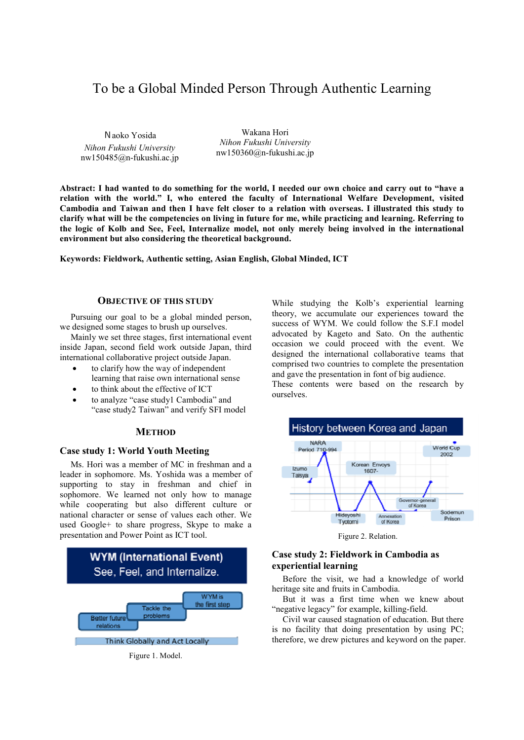# To be a Global Minded Person Through Authentic Learning

Naoko Yosida *Nihon Fukushi University* nw150485@n-fukushi.ac.jp

Wakana Hori *Nihon Fukushi University* nw150360@n-fukushi.ac.jp

**Abstract: I had wanted to do something for the world, I needed our own choice and carry out to "have a relation with the world." I, who entered the faculty of International Welfare Development, visited Cambodia and Taiwan and then I have felt closer to a relation with overseas. I illustrated this study to clarify what will be the competencies on living in future for me, while practicing and learning. Referring to the logic of Kolb and See, Feel, Internalize model, not only merely being involved in the international environment but also considering the theoretical background.** 

**Keywords: Fieldwork, Authentic setting, Asian English, Global Minded, ICT**

#### **OBJECTIVE OF THIS STUDY**

Pursuing our goal to be a global minded person, we designed some stages to brush up ourselves.

Mainly we set three stages, first international event inside Japan, second field work outside Japan, third international collaborative project outside Japan.

- to clarify how the way of independent learning that raise own international sense
- to think about the effective of ICT
- to analyze "case study1 Cambodia" and "case study2 Taiwan" and verify SFI model

# **METHOD**

## **Case study 1: World Youth Meeting**

Ms. Hori was a member of MC in freshman and a leader in sophomore. Ms. Yoshida was a member of supporting to stay in freshman and chief in sophomore. We learned not only how to manage while cooperating but also different culture or national character or sense of values each other. We used Google+ to share progress, Skype to make a presentation and Power Point as ICT tool.



Figure 1. Model.

While studying the Kolb's experiential learning theory, we accumulate our experiences toward the success of WYM. We could follow the S.F.I model advocated by Kageto and Sato. On the authentic occasion we could proceed with the event. We designed the international collaborative teams that comprised two countries to complete the presentation and gave the presentation in font of big audience. These contents were based on the research by

ourselves.



Figure 2. Relation.

# **Case study 2: Fieldwork in Cambodia as experiential learning**

Before the visit, we had a knowledge of world heritage site and fruits in Cambodia.

But it was a first time when we knew about "negative legacy" for example, killing-field.

Civil war caused stagnation of education. But there is no facility that doing presentation by using PC; therefore, we drew pictures and keyword on the paper.